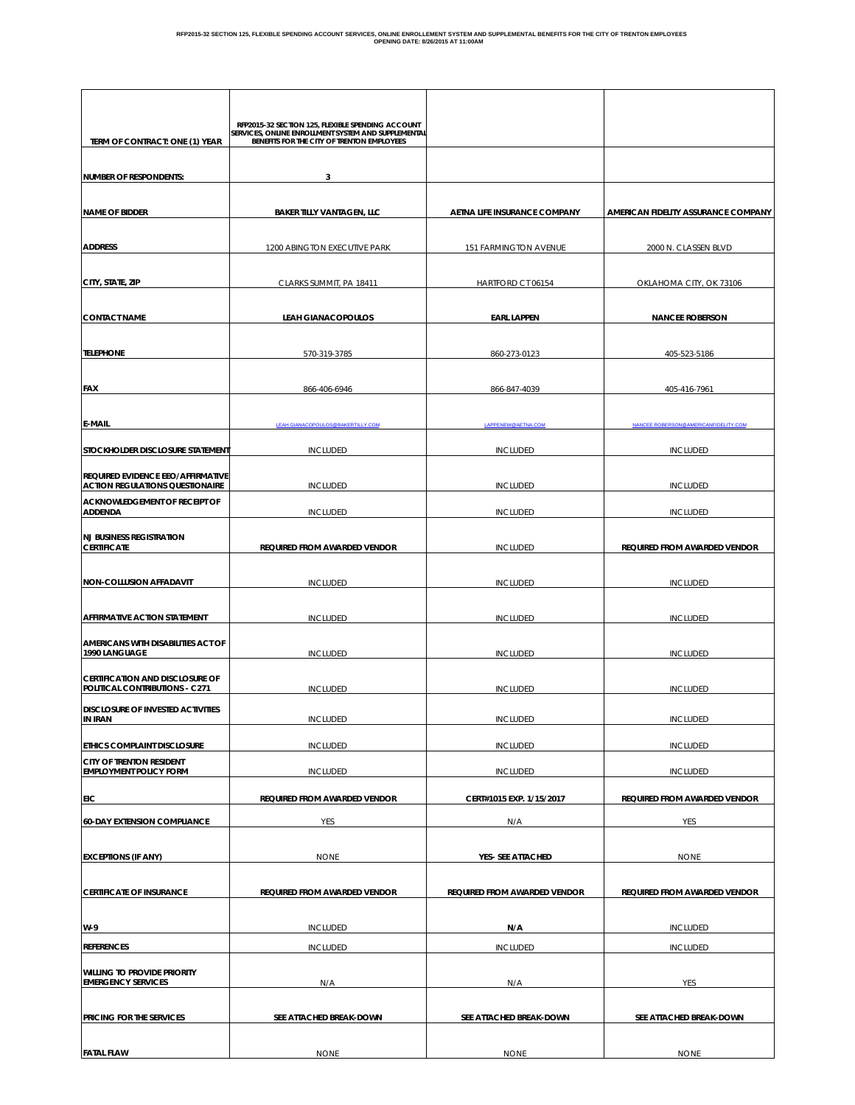| TERM OF CONTRACT: ONE (1) YEAR                                                                                             | RFP2015-32 SECTION 125, FLEXIBLE SPENDING ACCOUNT<br>SERVICES, ONLINE ENROLLMENT SYSTEM AND SUPPLEMENTAL<br>BENEFITS FOR THE CITY OF TRENTON EMPLOYEES |                                             |                                                 |
|----------------------------------------------------------------------------------------------------------------------------|--------------------------------------------------------------------------------------------------------------------------------------------------------|---------------------------------------------|-------------------------------------------------|
| NUMBER OF RESPONDENTS:                                                                                                     | 3                                                                                                                                                      |                                             |                                                 |
| <b>NAME OF BIDDER</b>                                                                                                      | <b>BAKER TILLY VANTAGEN, LLC</b>                                                                                                                       | AETNA LIFE INSURANCE COMPANY                | AMERICAN FIDELITY ASSURANCE COMPANY             |
| <b>ADDRESS</b>                                                                                                             | 1200 ABINGTON EXECUTIVE PARK                                                                                                                           | 151 FARMINGTON AVENUE                       | 2000 N. CLASSEN BLVD                            |
|                                                                                                                            |                                                                                                                                                        |                                             |                                                 |
| CITY, STATE, ZIP                                                                                                           | CLARKS SUMMIT, PA 18411                                                                                                                                | HARTFORD CT 06154                           | OKLAHOMA CITY, OK 73106                         |
| <b>CONTACT NAME</b>                                                                                                        | <b>LEAH GIANACOPOULOS</b>                                                                                                                              | <b>EARL LAPPEN</b>                          | <b>NANCEE ROBERSON</b>                          |
| <b>TELEPHONE</b>                                                                                                           | 570-319-3785                                                                                                                                           | 860-273-0123                                | 405-523-5186                                    |
| <b>FAX</b>                                                                                                                 | 866-406-6946                                                                                                                                           | 866-847-4039                                | 405-416-7961                                    |
|                                                                                                                            |                                                                                                                                                        |                                             |                                                 |
| <b>E-MAIL</b>                                                                                                              | LEAH.GIANACOPOULOS@BAKERTILLY.COM                                                                                                                      | LAPPENEW@AETNA.COM                          | NANCEE.ROBERSON@AMERICANFIDELITY.COM            |
| STOCKHOLDER DISCLOSURE STATEMENT                                                                                           | <b>INCLUDED</b>                                                                                                                                        | <b>INCLUDED</b>                             | <b>INCLUDED</b>                                 |
| <b>REQUIRED EVIDENCE EEO/AFFIRMATIVE</b><br><b>ACTION REGULATIONS QUESTIONAIRE</b><br><b>ACKNOWLEDGEMENT OF RECEIPT OF</b> | <b>INCLUDED</b>                                                                                                                                        | <b>INCLUDED</b>                             | <b>INCLUDED</b>                                 |
| <b>ADDENDA</b>                                                                                                             | <b>INCLUDED</b>                                                                                                                                        | <b>INCLUDED</b>                             | <b>INCLUDED</b>                                 |
| <b>NJ BUSINESS REGISTRATION</b><br><b>CERTIFICATE</b>                                                                      | <b>REQUIRED FROM AWARDED VENDOR</b>                                                                                                                    | <b>INCLUDED</b>                             | REQUIRED FROM AWARDED VENDOR                    |
| <b>NON-COLLUSION AFFADAVIT</b>                                                                                             | <b>INCLUDED</b>                                                                                                                                        | <b>INCLUDED</b>                             | <b>INCLUDED</b>                                 |
| <b>AFFIRMATIVE ACTION STATEMENT</b>                                                                                        | <b>INCLUDED</b>                                                                                                                                        | <b>INCLUDED</b>                             | <b>INCLUDED</b>                                 |
| AMERICANS WITH DISABILITIES ACT OF<br>1990 LANGUAGE                                                                        | <b>INCLUDED</b>                                                                                                                                        | <b>INCLUDED</b>                             | <b>INCLUDED</b>                                 |
| <b>CERTIFICATION AND DISCLOSURE OF</b><br>POLITICAL CONTRIBUTIONS - C271                                                   | <b>INCLUDED</b>                                                                                                                                        | <b>INCLUDED</b>                             | <b>INCLUDED</b>                                 |
| DISCLOSURE OF INVESTED ACTIVITIES<br><b>IN IRAN</b>                                                                        | <b>INCLUDED</b>                                                                                                                                        | <b>INCLUDED</b>                             | <b>INCLUDED</b>                                 |
| <b>ETHICS COMPLAINT DISCLOSURE</b>                                                                                         | <b>INCLUDED</b>                                                                                                                                        | <b>INCLUDED</b>                             | <b>INCLUDED</b>                                 |
| CITY OF TRENTON RESIDENT                                                                                                   |                                                                                                                                                        |                                             |                                                 |
| <b>EMPLOYMENT POLICY FORM</b><br><b>EIC</b>                                                                                | <b>INCLUDED</b><br>REQUIRED FROM AWARDED VENDOR                                                                                                        | <b>INCLUDED</b><br>CERT#1015 EXP. 1/15/2017 | <b>INCLUDED</b><br>REQUIRED FROM AWARDED VENDOR |
| <b>60-DAY EXTENSION COMPLIANCE</b>                                                                                         | YES                                                                                                                                                    | N/A                                         | YES                                             |
|                                                                                                                            |                                                                                                                                                        |                                             |                                                 |
| <b>EXCEPTIONS (IF ANY)</b>                                                                                                 | <b>NONE</b>                                                                                                                                            | YES- SEE ATTACHED                           | <b>NONE</b>                                     |
| <b>CERTIFICATE OF INSURANCE</b>                                                                                            | <b>REQUIRED FROM AWARDED VENDOR</b>                                                                                                                    | REQUIRED FROM AWARDED VENDOR                | REQUIRED FROM AWARDED VENDOR                    |
| W-9                                                                                                                        | <b>INCLUDED</b>                                                                                                                                        | N/A                                         | <b>INCLUDED</b>                                 |
| <b>REFERENCES</b>                                                                                                          | <b>INCLUDED</b>                                                                                                                                        | <b>INCLUDED</b>                             | <b>INCLUDED</b>                                 |
| WILLING TO PROVIDE PRIORITY<br><b>EMERGENCY SERVICES</b>                                                                   | N/A                                                                                                                                                    | N/A                                         | YES                                             |
| PRICING FOR THE SERVICES                                                                                                   | SEE ATTACHED BREAK-DOWN                                                                                                                                | SEE ATTACHED BREAK-DOWN                     | SEE ATTACHED BREAK-DOWN                         |
|                                                                                                                            |                                                                                                                                                        |                                             |                                                 |
| <b>FATAL FLAW</b>                                                                                                          | <b>NONE</b>                                                                                                                                            | <b>NONE</b>                                 | <b>NONE</b>                                     |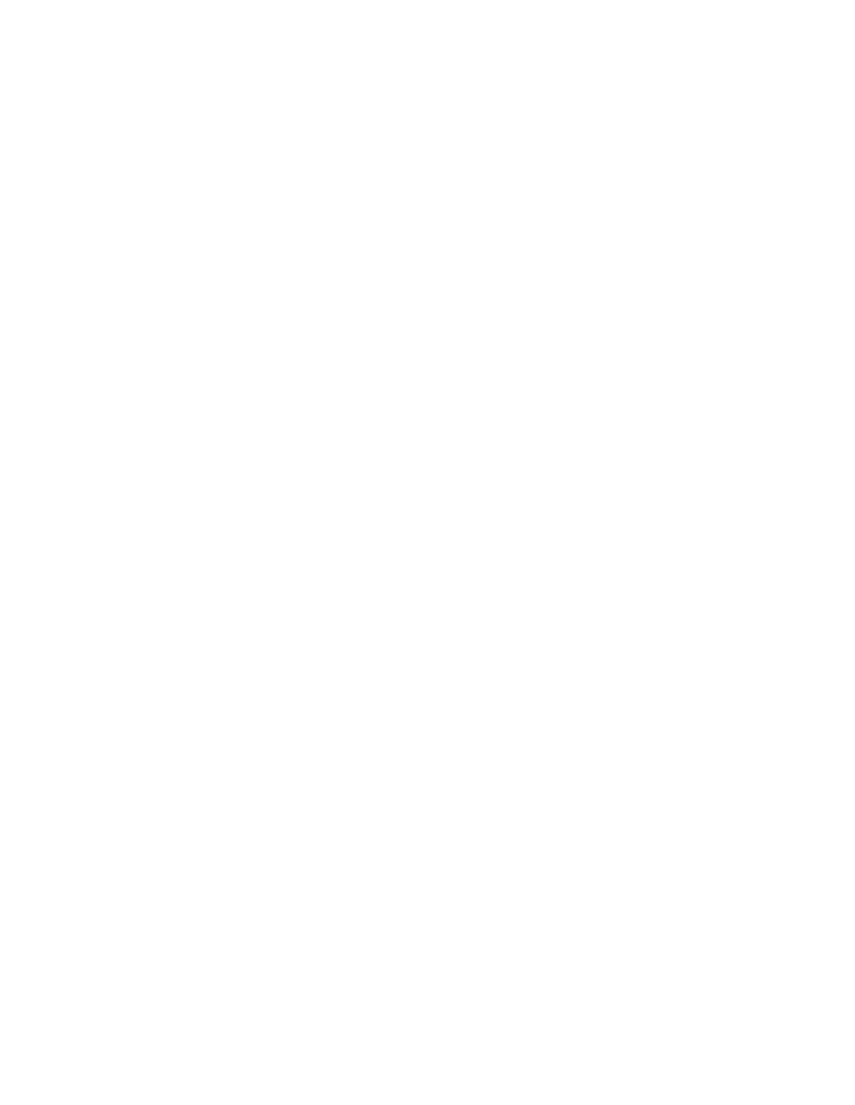|                                                                             | RFP2015-32 SECTION 125, FLEXIBLE SPENDING ACCOUNT<br>SERVICES, ONLINE ENROLLMENT SYSTEM AND SUPPLEMENTA |                              |                                      |
|-----------------------------------------------------------------------------|---------------------------------------------------------------------------------------------------------|------------------------------|--------------------------------------|
| TERM OF CONTRACT: ONE (1) YEAR                                              | BENEFITS FOR THE CITY OF TRENTON EMPLOYEES                                                              |                              |                                      |
| NUMBER OF RESPONDENTS:                                                      | 3                                                                                                       |                              |                                      |
| NAME OF BIDDER                                                              | BAKER TILLY VANTAGEN, LLC                                                                               | AETNA LIFE INSURANCE COMPANY | AMERICAN FIDELITY ASSURANCE COMPANY  |
|                                                                             |                                                                                                         |                              |                                      |
| <b>ADDRESS</b>                                                              | 1200 ABINGTON EXECUTIVE PARK                                                                            | 151 FARMINGTON AVENUE        | 2000 N. CLASSEN BLVD                 |
| CITY, STATE, ZIP                                                            | CLARKS SUMMIT, PA 18411                                                                                 | HARTFORD CT 06154            | OKLAHOMA CITY, OK 73106              |
|                                                                             |                                                                                                         |                              |                                      |
| <b>CONTACT NAME</b>                                                         | LEAH GIANACOPOULOS                                                                                      | <b>EARL LAPPEN</b>           | NANCEE ROBERSON                      |
| <b>TELEPHONE</b>                                                            | 570-319-3785                                                                                            | 860-273-0123                 | 405-523-5186                         |
| <b>FAX</b>                                                                  | 866-406-6946                                                                                            | 866-847-4039                 | 405-416-7961                         |
|                                                                             |                                                                                                         |                              |                                      |
| E-MAIL                                                                      | LEAH.GIANACOPOULOS@BAKERTILLY.COM                                                                       | LAPPENEW@AETNA.COM           | NANCEE.ROBERSON@AMERICANFIDELITY.COM |
| STOCKHOLDER DISCLOSURE STATEMENT                                            | <b>INCLUDED</b>                                                                                         | <b>INCLUDED</b>              | <b>INCLUDED</b>                      |
| REQUIRED EVIDENCE EEO/AFFIRMATIVE<br><b>ACTION REGULATIONS QUESTIONAIRE</b> | <b>INCLUDED</b>                                                                                         | <b>INCLUDED</b>              | <b>INCLUDED</b>                      |
| ACKNOWLEDGEMENT OF RECEIPT OF<br><b>ADDENDA</b>                             | <b>INCLUDED</b>                                                                                         | <b>INCLUDED</b>              | <b>INCLUDED</b>                      |
| <b>NJ BUSINESS REGISTRATION</b>                                             |                                                                                                         |                              |                                      |
| <b>CERTIFICATE</b>                                                          | REQUIRED FROM AWARDED VENDOR                                                                            | <b>INCLUDED</b>              | REQUIRED FROM AWARDED VENDOR         |
| NON-COLLUSION AFFADAVIT                                                     | <b>INCLUDED</b>                                                                                         | <b>INCLUDED</b>              | <b>INCLUDED</b>                      |
|                                                                             |                                                                                                         |                              |                                      |
| AFFIRMATIVE ACTION STATEMENT                                                | <b>INCLUDED</b>                                                                                         | <b>INCLUDED</b>              | <b>INCLUDED</b>                      |
| AMERICANS WITH DISABILITIES ACT OF<br>1990 LANGUAGE                         | <b>INCLUDED</b>                                                                                         | <b>INCLUDED</b>              | <b>INCLUDED</b>                      |
| CERTIFICATION AND DISCLOSURE OF<br>POLITICAL CONTRIBUTIONS - C271           | <b>INCLUDED</b>                                                                                         | <b>INCLUDED</b>              | <b>INCLUDED</b>                      |
| DISCLOSURE OF INVESTED ACTIVITIES                                           |                                                                                                         |                              |                                      |
| <b>IN IRAN</b>                                                              | <b>INCLUDED</b>                                                                                         | <b>INCLUDED</b>              | <b>INCLUDED</b>                      |
| ETHICS COMPLAINT DISCLOSURE                                                 | <b>INCLUDED</b>                                                                                         | <b>INCLUDED</b>              | <b>INCLUDED</b>                      |
| CITY OF TRENTON RESIDENT<br>EMPLOYMENT POLICY FORM                          | <b>INCLUDED</b>                                                                                         | <b>INCLUDED</b>              | <b>INCLUDED</b>                      |
| <b>EIC</b>                                                                  | REQUIRED FROM AWARDED VENDOR                                                                            | CERT#1015 EXP. 1/15/2017     | REQUIRED FROM AWARDED VENDOR         |
| 60-DAY EXTENSION COMPLIANCE                                                 | <b>YES</b>                                                                                              | N/A                          | <b>YES</b>                           |
| <b>EXCEPTIONS (IF ANY)</b>                                                  | <b>NONE</b>                                                                                             | YES- SEE ATTACHED            | <b>NONE</b>                          |
|                                                                             |                                                                                                         |                              |                                      |
| CERTIFICATE OF INSURANCE                                                    | REQUIRED FROM AWARDED VENDOR                                                                            | REQUIRED FROM AWARDED VENDOR | REQUIRED FROM AWARDED VENDOR         |
| W-9                                                                         | <b>INCLUDED</b>                                                                                         | N/A                          | <b>INCLUDED</b>                      |
| <b>REFERENCES</b>                                                           | <b>INCLUDED</b>                                                                                         | <b>INCLUDED</b>              | <b>INCLUDED</b>                      |
| <b>WILLING TO PROVIDE PRIORITY</b>                                          |                                                                                                         |                              |                                      |
| <b>EMERGENCY SERVICES</b>                                                   | N/A                                                                                                     | N/A                          | <b>YES</b>                           |
| PRICING FOR THE SERVICES                                                    | SEE ATTACHED BREAK-DOWN                                                                                 | SEE ATTACHED BREAK-DOWN      | SEE ATTACHED BREAK-DOWN              |
|                                                                             |                                                                                                         |                              |                                      |
| <b>FATAL FLAW</b>                                                           | <b>NONE</b>                                                                                             | <b>NONE</b>                  | <b>NONE</b>                          |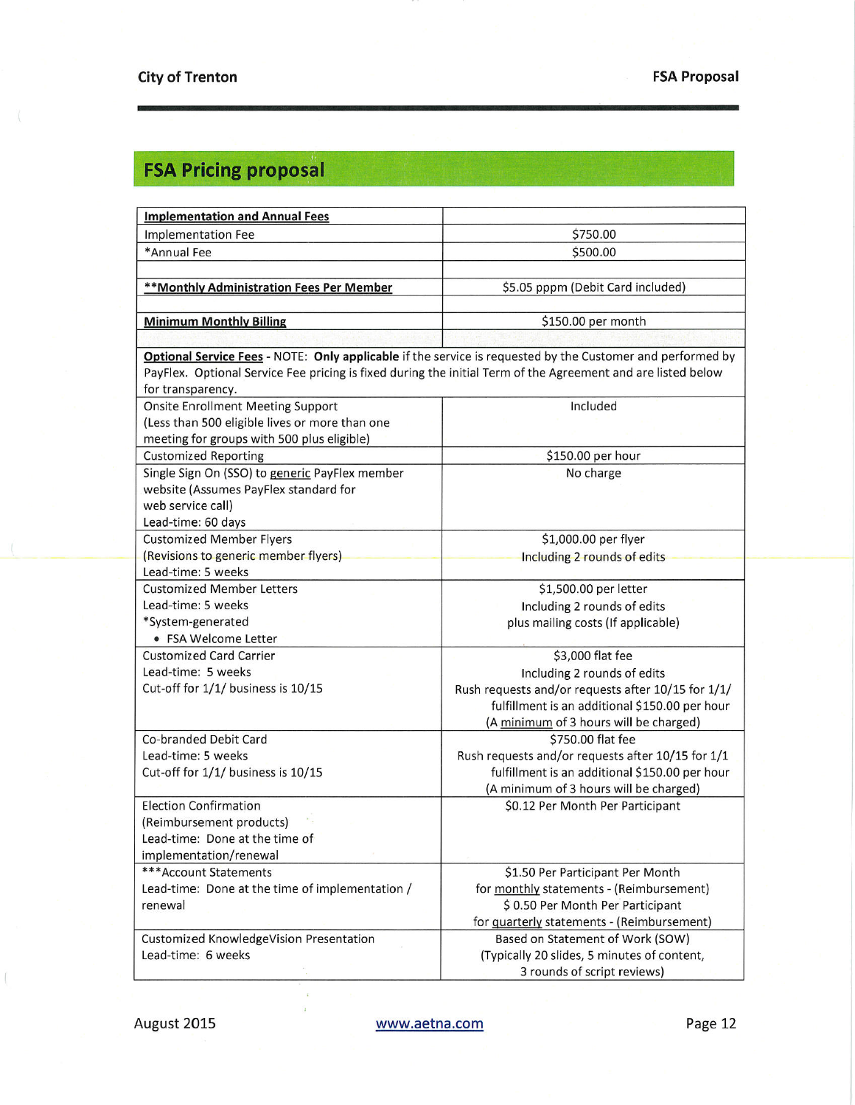## **City of Trenton**

## **FSA Pricing proposal**

| <b>Implementation and Annual Fees</b>                                                                                                    |                                                                                                                                                                                                                            |  |
|------------------------------------------------------------------------------------------------------------------------------------------|----------------------------------------------------------------------------------------------------------------------------------------------------------------------------------------------------------------------------|--|
| Implementation Fee                                                                                                                       | \$750.00                                                                                                                                                                                                                   |  |
| *Annual Fee                                                                                                                              | \$500.00                                                                                                                                                                                                                   |  |
| **Monthly Administration Fees Per Member                                                                                                 | \$5.05 pppm (Debit Card included)                                                                                                                                                                                          |  |
| <b>Minimum Monthly Billing</b>                                                                                                           | \$150.00 per month                                                                                                                                                                                                         |  |
|                                                                                                                                          |                                                                                                                                                                                                                            |  |
| for transparency.                                                                                                                        | Optional Service Fees - NOTE: Only applicable if the service is requested by the Customer and performed by<br>PayFlex. Optional Service Fee pricing is fixed during the initial Term of the Agreement and are listed below |  |
| <b>Onsite Enrollment Meeting Support</b><br>(Less than 500 eligible lives or more than one<br>meeting for groups with 500 plus eligible) | Included                                                                                                                                                                                                                   |  |
| <b>Customized Reporting</b>                                                                                                              | \$150.00 per hour                                                                                                                                                                                                          |  |
| Single Sign On (SSO) to generic PayFlex member<br>website (Assumes PayFlex standard for<br>web service call)<br>Lead-time: 60 days       | No charge                                                                                                                                                                                                                  |  |
| <b>Customized Member Flyers</b>                                                                                                          | \$1,000.00 per flyer                                                                                                                                                                                                       |  |
| (Revisions to generic member flyers)                                                                                                     | Including 2 rounds of edits                                                                                                                                                                                                |  |
| Lead-time: 5 weeks                                                                                                                       |                                                                                                                                                                                                                            |  |
| <b>Customized Member Letters</b>                                                                                                         | \$1,500.00 per letter                                                                                                                                                                                                      |  |
| Lead-time: 5 weeks                                                                                                                       | Including 2 rounds of edits                                                                                                                                                                                                |  |
| *System-generated                                                                                                                        | plus mailing costs (If applicable)                                                                                                                                                                                         |  |
| • FSA Welcome Letter                                                                                                                     |                                                                                                                                                                                                                            |  |
| <b>Customized Card Carrier</b>                                                                                                           | \$3,000 flat fee                                                                                                                                                                                                           |  |
| Lead-time: 5 weeks                                                                                                                       | Including 2 rounds of edits                                                                                                                                                                                                |  |
| Cut-off for 1/1/ business is 10/15                                                                                                       | Rush requests and/or requests after 10/15 for 1/1/<br>fulfillment is an additional \$150.00 per hour<br>(A minimum of 3 hours will be charged)                                                                             |  |
| Co-branded Debit Card                                                                                                                    | \$750.00 flat fee                                                                                                                                                                                                          |  |
| Lead-time: 5 weeks                                                                                                                       | Rush requests and/or requests after 10/15 for 1/1                                                                                                                                                                          |  |
| Cut-off for 1/1/ business is 10/15                                                                                                       | fulfillment is an additional \$150.00 per hour<br>(A minimum of 3 hours will be charged)                                                                                                                                   |  |
| <b>Election Confirmation</b>                                                                                                             | \$0.12 Per Month Per Participant                                                                                                                                                                                           |  |
| (Reimbursement products)                                                                                                                 |                                                                                                                                                                                                                            |  |
| Lead-time: Done at the time of                                                                                                           |                                                                                                                                                                                                                            |  |
| implementation/renewal                                                                                                                   |                                                                                                                                                                                                                            |  |
| *** Account Statements                                                                                                                   | \$1.50 Per Participant Per Month                                                                                                                                                                                           |  |
| Lead-time: Done at the time of implementation /<br>renewal                                                                               | for monthly statements - (Reimbursement)<br>\$0.50 Per Month Per Participant                                                                                                                                               |  |
|                                                                                                                                          | for <i>guarterly</i> statements - (Reimbursement)                                                                                                                                                                          |  |
| Customized KnowledgeVision Presentation<br>Lead-time: 6 weeks                                                                            | Based on Statement of Work (SOW)<br>(Typically 20 slides, 5 minutes of content,<br>3 rounds of script reviews)                                                                                                             |  |

www.aetna.com

 $\tilde{\mathbf{x}}$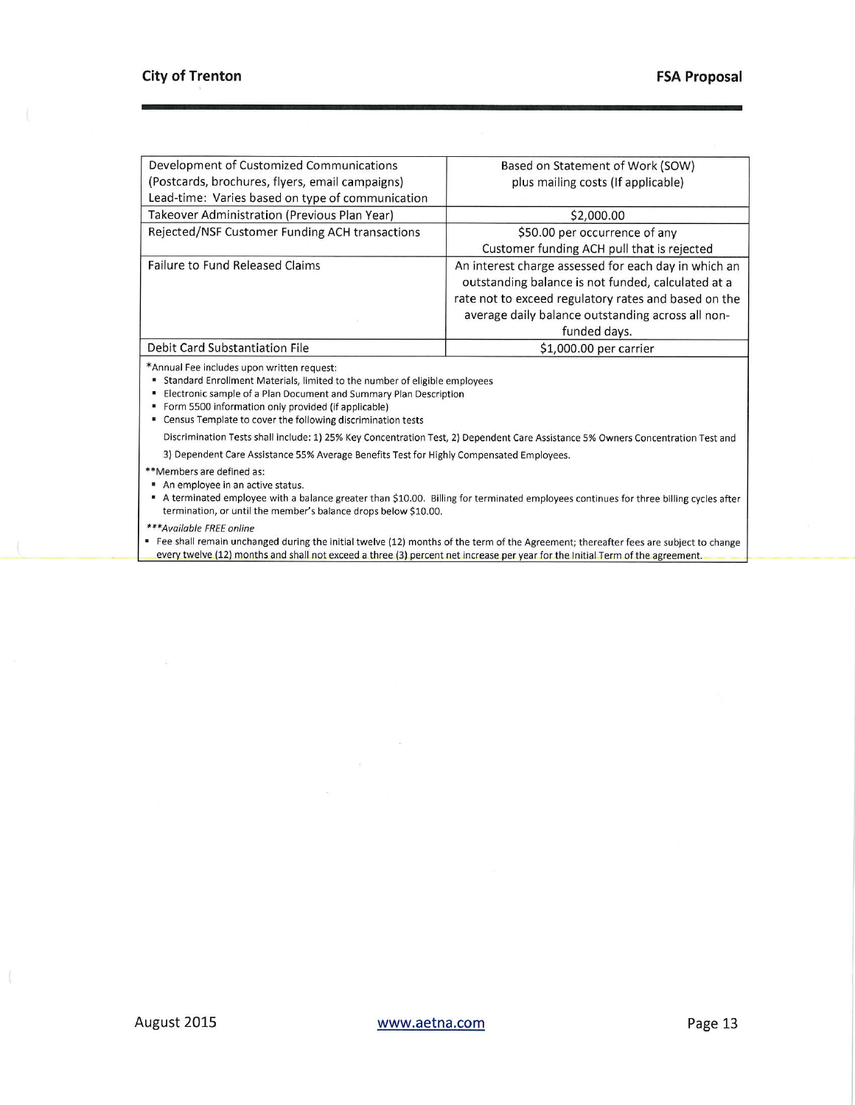| Development of Customized Communications                                                                                                                                                                                                                                                                                 | Based on Statement of Work (SOW)                     |  |  |  |
|--------------------------------------------------------------------------------------------------------------------------------------------------------------------------------------------------------------------------------------------------------------------------------------------------------------------------|------------------------------------------------------|--|--|--|
| (Postcards, brochures, flyers, email campaigns)                                                                                                                                                                                                                                                                          | plus mailing costs (If applicable)                   |  |  |  |
| Lead-time: Varies based on type of communication                                                                                                                                                                                                                                                                         |                                                      |  |  |  |
| Takeover Administration (Previous Plan Year)                                                                                                                                                                                                                                                                             | \$2,000.00                                           |  |  |  |
| Rejected/NSF Customer Funding ACH transactions                                                                                                                                                                                                                                                                           | \$50.00 per occurrence of any                        |  |  |  |
|                                                                                                                                                                                                                                                                                                                          | Customer funding ACH pull that is rejected           |  |  |  |
| <b>Failure to Fund Released Claims</b>                                                                                                                                                                                                                                                                                   | An interest charge assessed for each day in which an |  |  |  |
|                                                                                                                                                                                                                                                                                                                          | outstanding balance is not funded, calculated at a   |  |  |  |
|                                                                                                                                                                                                                                                                                                                          | rate not to exceed regulatory rates and based on the |  |  |  |
|                                                                                                                                                                                                                                                                                                                          | average daily balance outstanding across all non-    |  |  |  |
|                                                                                                                                                                                                                                                                                                                          | funded days.                                         |  |  |  |
| Debit Card Substantiation File                                                                                                                                                                                                                                                                                           | \$1,000.00 per carrier                               |  |  |  |
| *Annual Fee includes upon written request:<br>Standard Enrollment Materials, limited to the number of eligible employees<br>۰<br>Electronic sample of a Plan Document and Summary Plan Description<br>Form 5500 information only provided (if applicable)<br>Census Template to cover the following discrimination tests |                                                      |  |  |  |
| Discrimination Tests shall include: 1) 25% Key Concentration Test, 2) Dependent Care Assistance 5% Owners Concentration Test and                                                                                                                                                                                         |                                                      |  |  |  |
| 3) Dependent Care Assistance 55% Average Benefits Test for Highly Compensated Employees.                                                                                                                                                                                                                                 |                                                      |  |  |  |
| **Members are defined as:<br>An employee in an active status.<br>ш<br>A terminated employee with a balance greater than \$10.00. Billing for terminated employees continues for three billing cycles after<br>termination, or until the member's balance drops below \$10.00.                                            |                                                      |  |  |  |

\*\*\* Available FREE online

" Fee shall remain unchanged during the initial twelve (12) months of the term of the Agreement; thereafter fees are subject to change every twelve (12) months and shall not exceed a three (3) percent net increase per year for the Initial Term of the agreement.